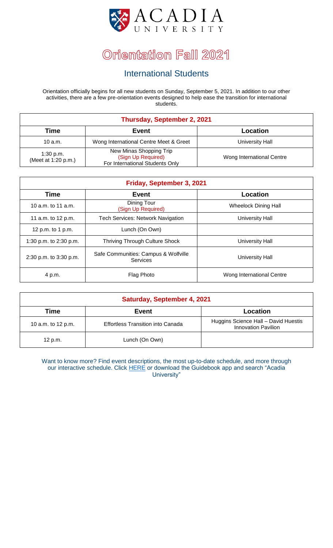

#### International Students

Orientation officially begins for all new students on Sunday, September 5, 2021. In addition to our other activities, there are a few pre-orientation events designed to help ease the transition for international students.

| Thursday, September 2, 2021      |                                                                                  |                           |
|----------------------------------|----------------------------------------------------------------------------------|---------------------------|
| <b>Time</b>                      | <b>Event</b>                                                                     | Location                  |
| 10 $a.m.$                        | Wong International Centre Meet & Greet                                           | University Hall           |
| 1:30 p.m.<br>(Meet at 1:20 p.m.) | New Minas Shopping Trip<br>(Sign Up Required)<br>For International Students Only | Wong International Centre |

| Friday, September 3, 2021 |                                                  |                           |
|---------------------------|--------------------------------------------------|---------------------------|
| <b>Time</b>               | Event                                            | Location                  |
| 10 a.m. to 11 a.m.        | Dining Tour<br>(Sign Up Required)                | Wheelock Dining Hall      |
| 11 a.m. to 12 p.m.        | <b>Tech Services: Network Navigation</b>         | University Hall           |
| 12 p.m. to 1 p.m.         | Lunch (On Own)                                   |                           |
| 1:30 p.m. to 2:30 p.m.    | <b>Thriving Through Culture Shock</b>            | <b>University Hall</b>    |
| 2:30 p.m. to 3:30 p.m.    | Safe Communities: Campus & Wolfville<br>Services | University Hall           |
| 4 p.m.                    | Flag Photo                                       | Wong International Centre |

| <b>Saturday, September 4, 2021</b> |                                          |                                                                    |
|------------------------------------|------------------------------------------|--------------------------------------------------------------------|
| Time                               | <b>Event</b>                             | <b>Location</b>                                                    |
| 10 a.m. to 12 p.m.                 | <b>Effortless Transition into Canada</b> | Huggins Science Hall - David Huestis<br><b>Innovation Pavilion</b> |
| 12 p.m.                            | Lunch (On Own)                           |                                                                    |

Want to know more? Find event descriptions, the most up-to-date schedule, and more through our interactive schedule. Click [HERE](https://guidebook.com/g/#/guides/acadiau) or download the Guidebook app and search "Acadia University"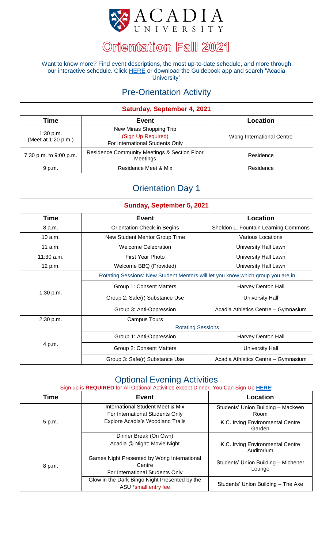

Want to know more? Find event descriptions, the most up-to-date schedule, and more through our interactive schedule. Click [HERE](https://guidebook.com/g/#/guides/acadiau) or download the Guidebook app and search "Acadia University"

### Pre-Orientation Activity

| Saturday, September 4, 2021      |                                                                                  |                           |  |
|----------------------------------|----------------------------------------------------------------------------------|---------------------------|--|
| Time                             | Event                                                                            | <b>Location</b>           |  |
| 1:30 p.m.<br>(Meet at 1:20 p.m.) | New Minas Shopping Trip<br>(Sign Up Required)<br>For International Students Only | Wong International Centre |  |
| 7:30 p.m. to 9:00 p.m.           | <b>Residence Community Meetings &amp; Section Floor</b><br>Meetings              | Residence                 |  |
| 9 p.m.                           | Residence Meet & Mix                                                             | Residence                 |  |

### Orientation Day 1

| Sunday, September 5, 2021 |                                                                                 |                                      |  |
|---------------------------|---------------------------------------------------------------------------------|--------------------------------------|--|
| Time                      | <b>Event</b>                                                                    | <b>Location</b>                      |  |
| 8 a.m.                    | <b>Orientation Check-in Begins</b>                                              | Sheldon L. Fountain Learning Commons |  |
| 10 a.m.                   | New Student Mentor Group Time                                                   | Various Locations                    |  |
| 11 a.m.                   | <b>Welcome Celebration</b>                                                      | University Hall Lawn                 |  |
| $11:30$ a.m.              | <b>First Year Photo</b>                                                         | University Hall Lawn                 |  |
| 12 p.m.                   | Welcome BBQ (Provided)                                                          | University Hall Lawn                 |  |
|                           | Rotating Sessions: New Student Mentors will let you know which group you are in |                                      |  |
|                           | Group 1: Consent Matters                                                        | Harvey Denton Hall                   |  |
| 1:30 p.m.                 | Group 2: Safe(r) Substance Use                                                  | <b>University Hall</b>               |  |
|                           | Group 3: Anti-Oppression                                                        | Acadia Athletics Centre - Gymnasium  |  |
| 2:30 p.m.                 | <b>Campus Tours</b>                                                             |                                      |  |
|                           | <b>Rotating Sessions</b>                                                        |                                      |  |
|                           | Group 1: Anti-Oppression                                                        | Harvey Denton Hall                   |  |
| 4 p.m.                    | Group 2: Consent Matters                                                        | <b>University Hall</b>               |  |
|                           | Group 3: Safe(r) Substance Use                                                  | Acadia Athletics Centre - Gymnasium  |  |

#### Optional Evening Activities

#### Sign up is **REQUIRED** for All Optional Activities except Dinner. You Can Sign Up **[HERE](https://acadiau.legendonlineservices.ca/enterprise/account/home)**!

| <b>Time</b> | Event                                                                                    | Location                                       |
|-------------|------------------------------------------------------------------------------------------|------------------------------------------------|
| 5 p.m.      | International Student Meet & Mix<br>For International Students Only                      | Students' Union Building - Mackeen<br>Room     |
|             | <b>Explore Acadia's Woodland Trails</b>                                                  | K.C. Irving Environmental Centre<br>Garden     |
|             | Dinner Break (On Own)                                                                    |                                                |
| 8 p.m.      | Acadia @ Night: Movie Night                                                              | K.C. Irving Environmental Centre<br>Auditorium |
|             | Games Night Presented by Wong International<br>Centre<br>For International Students Only | Students' Union Building - Michener<br>Lounge  |
|             | Glow in the Dark Bingo Night Presented by the<br>ASU *small entry fee                    | Students' Union Building - The Axe             |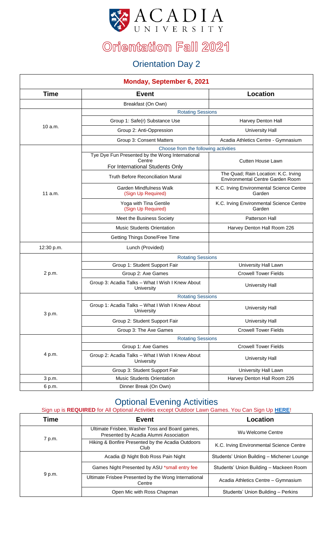

### Orientation Day 2

| <b>Monday, September 6, 2021</b> |                                                                                              |                                                                                 |  |
|----------------------------------|----------------------------------------------------------------------------------------------|---------------------------------------------------------------------------------|--|
| <b>Time</b>                      | <b>Event</b>                                                                                 | <b>Location</b>                                                                 |  |
|                                  | Breakfast (On Own)                                                                           |                                                                                 |  |
|                                  | <b>Rotating Sessions</b>                                                                     |                                                                                 |  |
|                                  | Group 1: Safe(r) Substance Use                                                               | Harvey Denton Hall                                                              |  |
| 10 a.m.                          | Group 2: Anti-Oppression                                                                     | <b>University Hall</b>                                                          |  |
|                                  | Group 3: Consent Matters                                                                     | Acadia Athletics Centre - Gymnasium                                             |  |
|                                  | Choose from the following activities                                                         |                                                                                 |  |
|                                  | Tye Dye Fun Presented by the Wong International<br>Centre<br>For International Students Only | <b>Cutten House Lawn</b>                                                        |  |
|                                  | <b>Truth Before Reconciliation Mural</b>                                                     | The Quad; Rain Location: K.C. Irving<br><b>Environmental Centre Garden Room</b> |  |
| 11a.m.                           | <b>Garden Mindfulness Walk</b><br>(Sign Up Required)                                         | K.C. Irving Environmental Science Centre<br>Garden                              |  |
|                                  | Yoga with Tina Gentile<br>(Sign Up Required)                                                 | K.C. Irving Environmental Science Centre<br>Garden                              |  |
|                                  | Meet the Business Society                                                                    | Patterson Hall                                                                  |  |
|                                  | <b>Music Students Orientation</b>                                                            | Harvey Denton Hall Room 226                                                     |  |
|                                  | Getting Things Done/Free Time                                                                |                                                                                 |  |
| 12:30 p.m.                       | Lunch (Provided)                                                                             |                                                                                 |  |
|                                  | <b>Rotating Sessions</b>                                                                     |                                                                                 |  |
|                                  | Group 1: Student Support Fair                                                                | University Hall Lawn                                                            |  |
| 2 p.m.                           | Group 2: Axe Games                                                                           | <b>Crowell Tower Fields</b>                                                     |  |
|                                  | Group 3: Acadia Talks - What I Wish I Knew About<br>University                               | <b>University Hall</b>                                                          |  |
|                                  | <b>Rotating Sessions</b>                                                                     |                                                                                 |  |
| 3 p.m.                           | Group 1: Acadia Talks - What I Wish I Knew About<br>University                               | <b>University Hall</b>                                                          |  |
|                                  | Group 2: Student Support Fair                                                                | <b>University Hall</b>                                                          |  |
|                                  | Group 3: The Axe Games                                                                       | <b>Crowell Tower Fields</b>                                                     |  |
|                                  | <b>Rotating Sessions</b>                                                                     |                                                                                 |  |
|                                  | Group 1: Axe Games                                                                           | <b>Crowell Tower Fields</b>                                                     |  |
| 4 p.m.                           | Group 2: Acadia Talks - What I Wish I Knew About<br>University                               | <b>University Hall</b>                                                          |  |
|                                  | Group 3: Student Support Fair                                                                | University Hall Lawn                                                            |  |
| 3 p.m.                           | <b>Music Students Orientation</b>                                                            | Harvey Denton Hall Room 226                                                     |  |
| 6 p.m.                           | Dinner Break (On Own)                                                                        |                                                                                 |  |

### Optional Evening Activities

| Time   | Event                                                                                    | Location                                   |
|--------|------------------------------------------------------------------------------------------|--------------------------------------------|
| 7 p.m. | Ultimate Frisbee, Washer Toss and Board games,<br>Presented by Acadia Alumni Association | Wu Welcome Centre                          |
|        | Hiking & Bonfire Presented by the Acadia Outdoors<br>Club                                | K.C. Irving Environmental Science Centre   |
| 9 p.m. | Acadia @ Night Bob Ross Pain Night                                                       | Students' Union Building - Michener Lounge |
|        | Games Night Presented by ASU *small entry fee                                            | Students' Union Building - Mackeen Room    |
|        | Ultimate Frisbee Presented by the Wong International<br>Centre                           | Acadia Athletics Centre - Gymnasium        |
|        | Open Mic with Ross Chapman                                                               | Students' Union Building - Perkins         |